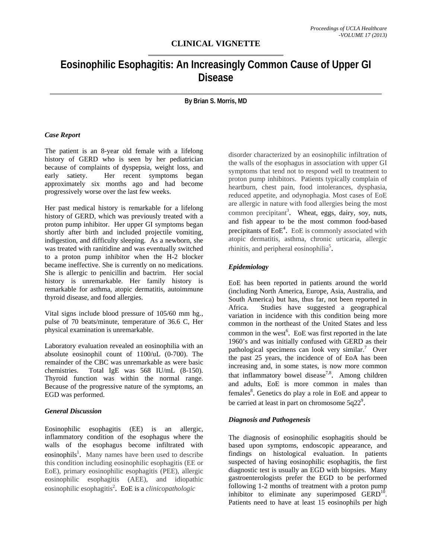# **CLINICAL VIGNETTE**

# **Eosinophilic Esophagitis: An Increasingly Common Cause of Upper GI Disease**

**By Brian S. Morris, MD** 

#### *Case Report*

The patient is an 8-year old female with a lifelong history of GERD who is seen by her pediatrician because of complaints of dyspepsia, weight loss, and early satiety. Her recent symptoms began approximately six months ago and had become progressively worse over the last few weeks.

Her past medical history is remarkable for a lifelong history of GERD, which was previously treated with a proton pump inhibitor. Her upper GI symptoms began shortly after birth and included projectile vomiting, indigestion, and difficulty sleeping. As a newborn, she was treated with ranitidine and was eventually switched to a proton pump inhibitor when the H-2 blocker became ineffective. She is currently on no medications. She is allergic to penicillin and bactrim. Her social history is unremarkable. Her family history is remarkable for asthma, atopic dermatitis, autoimmune thyroid disease, and food allergies.

Vital signs include blood pressure of 105/60 mm hg., pulse of 70 beats/minute, temperature of 36.6 C, Her physical examination is unremarkable.

Laboratory evaluation revealed an eosinophilia with an absolute eosinophil count of 1100/uL (0-700). The remainder of the CBC was unremarkable as were basic chemistries. Total IgE was 568 IU/mL (8-150). Thyroid function was within the normal range. Because of the progressive nature of the symptoms, an EGD was performed.

#### *General Discussion*

Eosinophilic esophagitis (EE) is an allergic, inflammatory condition of the esophagus where the walls of the esophagus become infiltrated with eosinophils<sup>1</sup>. Many names have been used to describe this condition including eosinophilic esophagitis (EE or EoE), primary eosinophilic esophagitis (PEE), allergic eosinophilic esophagitis (AEE), and idiopathic eosinophilic esophagitis<sup>2</sup>. EoE is a *clinicopathologic* 

disorder characterized by an eosinophilic infiltration of the walls of the esophagus in association with upper GI symptoms that tend not to respond well to treatment to proton pump inhibitors. Patients typically complain of heartburn, chest pain, food intolerances, dysphasia, reduced appetite, and odynophagia. Most cases of EoE are allergic in nature with food allergies being the most common precipitant<sup>3</sup>. Wheat, eggs, dairy, soy, nuts, and fish appear to be the most common food-based precipitants of  $EoE<sup>4</sup>$ . EoE is commonly associated with atopic dermatitis, asthma, chronic urticaria, allergic rhinitis, and peripheral eosinophilia<sup>5</sup>.

## *Epidemiology*

EoE has been reported in patients around the world (including North America, Europe, Asia, Australia, and South America) but has, thus far, not been reported in Africa. Studies have suggested a geographical variation in incidence with this condition being more common in the northeast of the United States and less common in the west<sup>6</sup>. EoE was first reported in the late 1960's and was initially confused with GERD as their pathological specimens can look very similar.<sup>7</sup> Over the past 25 years, the incidence of of EoA has been increasing and, in some states, is now more common that inflammatory bowel disease<sup>7,8</sup>. Among children and adults, EoE is more common in males than females<sup>8</sup>. Genetics do play a role in EoE and appear to be carried at least in part on chromosome  $5q22^9$ .

### *Diagnosis and Pathogenesis*

The diagnosis of eosinophilic esophagitis should be based upon symptoms, endoscopic appearance, and findings on histological evaluation. In patients suspected of having eosinophilic esophagitis, the first diagnostic test is usually an EGD with biopsies. Many gastroenterologists prefer the EGD to be performed following 1-2 months of treatment with a proton pump inhibitor to eliminate any superimposed  $GERD<sup>10</sup>$ . Patients need to have at least 15 eosinophils per high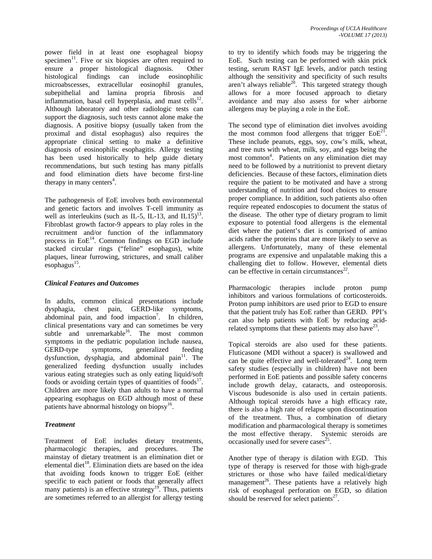power field in at least one esophageal biopsy specimen<sup>11</sup>. Five or six biopsies are often required to ensure a proper histological diagnosis. Other histological findings can include eosinophilic microabscesses, extracellular eosinophil granules, subepithelial and lamina propria fibrosis and inflammation, basal cell hyperplasia, and mast cells $^{12}$ . Although laboratory and other radiologic tests can support the diagnosis, such tests cannot alone make the diagnosis. A positive biopsy (usually taken from the proximal and distal esophagus) also requires the appropriate clinical setting to make a definitive diagnosis of eosinophilic esophagitis. Allergy testing has been used historically to help guide dietary recommendations, but such testing has many pitfalls and food elimination diets have become first-line therapy in many centers<sup>4</sup>.

The pathogenesis of EoE involves both environmental and genetic factors and involves T-cell immunity as well as interleukins (such as IL-5, IL-13, and IL15)<sup>13</sup>. Fibroblast growth factor-9 appears to play roles in the recruitment and/or function of the inflammatory process in  $E \circ E^{14}$ . Common findings on EGD include stacked circular rings ("feline" esophagus), white plaques, linear furrowing, strictures, and small caliber esophagus $^{15}$ .

## *Clinical Features and Outcomes*

In adults, common clinical presentations include dysphagia, chest pain, GERD-like symptoms, abdominal pain, and food impaction<sup>7</sup>. In children, clinical presentations vary and can sometimes be very subtle and unremarkable<sup>16</sup>. The most common symptoms in the pediatric population include nausea, GERD-type symptoms, generalized feeding dysfunction, dysphagia, and abdominal pain<sup>11</sup>. The generalized feeding dysfunction usually includes various eating strategies such as only eating liquid/soft foods or avoiding certain types of quantities of foods<sup>17</sup>. Children are more likely than adults to have a normal appearing esophagus on EGD although most of these patients have abnormal histology on biopsy<sup>16</sup>.

## *Treatment*

Treatment of EoE includes dietary treatments, pharmacologic therapies, and procedures. The mainstay of dietary treatment is an elimination diet or elemental diet<sup>18</sup>. Elimination diets are based on the idea that avoiding foods known to trigger EoE (either specific to each patient or foods that generally affect many patients) is an effective strategy<sup>19</sup>. Thus, patients are sometimes referred to an allergist for allergy testing

to try to identify which foods may be triggering the EoE. Such testing can be performed with skin prick testing, serum RAST IgE levels, and/or patch testing although the sensitivity and specificity of such results aren't always reliable $^{20}$ . This targeted strategy though allows for a more focused approach to dietary avoidance and may also assess for wher airborne allergens may be playing a role in the EoE.

The second type of elimination diet involves avoiding the most common food allergens that trigger  $E \circ E^{21}$ These include peanuts, eggs, soy, cow's milk, wheat, and tree nuts with wheat, milk, soy, and eggs being the most common<sup>4</sup>. Patients on any elimination diet may need to be followed by a nutritionist to prevent dietary deficiencies. Because of these factors, elimination diets require the patient to be motivated and have a strong understanding of nutrition and food choices to ensure proper compliance. In addition, such patients also often require repeated endoscopies to document the status of the disease. The other type of dietary program to limit exposure to potential food allergens is the elemental diet where the patient's diet is comprised of amino acids rather the proteins that are more likely to serve as allergens. Unfortunately, many of these elemental programs are expensive and unpalatable making this a challenging diet to follow. However, elemental diets can be effective in certain circumstances $^{22}$ .

Pharmacologic therapies include proton pump inhibitors and various formulations of corticosteroids. Proton pump inhibitors are used prior to EGD to ensure that the patient truly has EoE rather than GERD. PPI's can also help patients with EoE by reducing acidrelated symptoms that these patients may also have  $2^3$ .

Topical steroids are also used for these patients. Fluticasone (MDI without a spacer) is swallowed and can be quite effective and well-tolerated<sup>24</sup>. Long term safety studies (especially in children) have not been performed in EoE patients and possible safety concerns include growth delay, cataracts, and osteoporosis. Viscous budesonide is also used in certain patients. Although topical steroids have a high efficacy rate, there is also a high rate of relapse upon discontinuation of the treatment. Thus, a combination of dietary modification and pharmacological therapy is sometimes the most effective therapy. Systemic steroids are occasionally used for severe cases $^{25}$ .

Another type of therapy is dilation with EGD. This type of therapy is reserved for those with high-grade strictures or those who have failed medical/dietary management<sup>26</sup>. These patients have a relatively high risk of esophageal perforation on EGD, so dilation should be reserved for select patients<sup>27</sup>.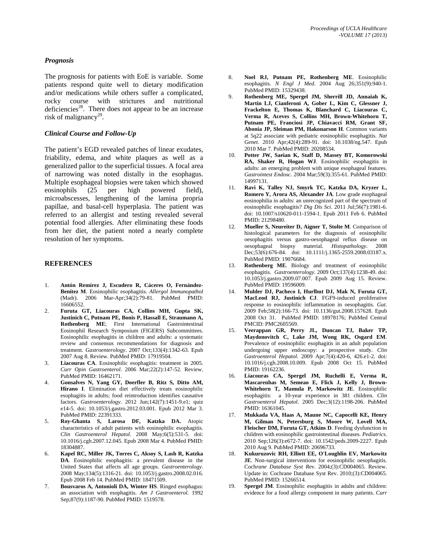### *Prognosis*

The prognosis for patients with EoE is variable. Some patients respond quite well to dietary modification and/or medications while others suffer a complicated, rocky course with strictures and nutritional deficiencies<sup>28</sup>. There does not appear to be an increase risk of malignancy<sup>29</sup>.

#### *Clinical Course and Follow-Up*

The patient's EGD revealed patches of linear exudates, friability, edema, and white plaques as well as a generalized pallor to the superficial tissues. A focal area of narrowing was noted distally in the esophagus. Multiple esophageal biopsies were taken which showed eosinophils (25 per high powered field), microabscesses, lengthening of the lamina propria papillae, and basal-cell hyperplasia. The patient was referred to an allergist and testing revealed several potential food allergies. After eliminating these foods from her diet, the patient noted a nearly complete resolution of her symptoms.

#### **REFERENCES**

- 1. **Antón Remírez J, Escudero R, Cáceres O, Fernández-Benítez M**. Eosinophilic esophagitis. *Allergol Immunopathol* (Madr). 2006 Mar-Apr;34(2):79-81. PubMed PMID: 16606552.
- 2. **Furuta GT, Liacouras CA, Collins MH, Gupta SK, Justinich C, Putnam PE, Bonis P, Hassall E, Straumann A, Rothenberg ME**; First International Gastrointestinal Eosinophil Research Symposium (FIGERS) Subcommittees. Eosinophilic esophagitis in children and adults: a systematic review and consensus recommendations for diagnosis and treatment. *Gastroenterology*. 2007 Oct;133(4):1342-63. Epub 2007 Aug 8. Review. PubMed PMID: 17919504.
- 3. **Liacouras CA**. Eosinophilic esophagitis: treatment in 2005. *Curr Opin Gastroenterol*. 2006 Mar;22(2):147-52. Review. PubMed PMID: 16462171.
- 4. **Gonsalves N, Yang GY, Doerfler B, Ritz S, Ditto AM, Hirano I**. Elimination diet effectively treats eosinophilic esophagitis in adults; food reintroduction identifies causative factors. *Gastroenterology*. 2012 Jun;142(7):1451-9.e1; quiz e14-5. doi: 10.1053/j.gastro.2012.03.001. Epub 2012 Mar 3. PubMed PMID: 22391333.
- 5. **Roy-Ghanta S, Larosa DF, Katzka DA.** Atopic characteristics of adult patients with eosinophilic esophagitis. *Clin Gastroenterol Hepatol*. 2008 May;6(5):531-5. doi: 10.1016/j.cgh.2007.12.045. Epub 2008 Mar 4. PubMed PMID: 18304887.
- 6. **Kapel RC, Miller JK, Torres C, Aksoy S, Lash R, Katzka DA**. Eosinophilic esophagitis: a prevalent disease in the United States that affects all age groups. *Gastroenterology*. 2008 May;134(5):1316-21. doi: 10.1053/j.gastro.2008.02.016. Epub 2008 Feb 14. PubMed PMID: 18471509.
- 7. **Bousvaros A, Antonioli DA, Winter HS**. Ringed esophagus: an association with esophagitis. *Am J Gastroenterol*. 1992 Sep;87(9):1187-90. PubMed PMID: 1519578.
- 8. **Noel RJ, Putnam PE, Rothenberg ME**. Eosinophilic esophagitis. *N Engl J Med*. 2004 Aug 26;351(9):940-1. PubMed PMID: 15329438.
- 9. **Rothenberg ME, Spergel JM, Sherrill JD, Annaiah K, Martin LJ, Cianferoni A, Gober L, Kim C, Glessner J, Frackelton E, Thomas K, Blanchard C, Liacouras C, Verma R, Aceves S, Collins MH, Brown-Whitehorn T, Putnam PE, Franciosi JP, Chiavacci RM, Grant SF, Abonia JP, Sleiman PM, Hakonarson H**. Common variants at 5q22 associate with pediatric eosinophilic esophagitis. *Nat Genet*. 2010 Apr;42(4):289-91. doi: 10.1038/ng.547. Epub 2010 Mar 7. PubMed PMID: 20208534.
- 10. **Potter JW, Saeian K, Staff D, Massey BT, Komorowski RA, Shaker R, Hogan WJ**. Eosinophilic esophagitis in adults: an emerging problem with unique esophageal features. *Gastrointest Endosc*. 2004 Mar;59(3):355-61. PubMed PMID: 14997131.
- 11. **Ravi K, Talley NJ, Smyrk TC, Katzka DA, Kryzer L, Romero Y, Arora AS, Alexander JA**. Low grade esophageal eosinophilia in adults: an unrecognized part of the spectrum of eosinophilic esophagitis? *Dig Dis Sci*. 2011 Jul;56(7):1981-6. doi: 10.1007/s10620-011-1594-1. Epub 2011 Feb 6. PubMed PMID: 21298480.
- 12. **Mueller S, Neureiter D, Aigner T, Stolte M**. Comparison of histological parameters for the diagnosis of eosinophilic oesophagitis versus gastro-oesophageal reflux disease on oesophageal biopsy material. *Histopathology*. 2008 Dec;53(6):676-84. doi: 10.1111/j.1365-2559.2008.03187.x. PubMed PMID: 19076684.
- 13. **Rothenberg ME**. Biology and treatment of eosinophilic esophagitis. *Gastroenterology*. 2009 Oct;137(4):1238-49. doi: 10.1053/j.gastro.2009.07.007. Epub 2009 Aug 15. Review. PubMed PMID: 19596009.
- 14. **Mulder DJ, Pacheco I, Hurlbut DJ, Mak N, Furuta GT, MacLeod RJ, Justinich CJ**. FGF9-induced proliferative response to eosinophilic inflammation in oesophagitis. *Gut*. 2009 Feb;58(2):166-73. doi: 10.1136/gut.2008.157628. Epub 2008 Oct 31. PubMed PMID: 18978176; PubMed Central PMCID: PMC2605569.
- 15. **Veerappan GR, Perry JL, Duncan TJ, Baker TP, Maydonovitch C, Lake JM, Wong RK, Osgard EM**. Prevalence of eosinophilic esophagitis in an adult population undergoing upper endoscopy: a prospective study. *Clin Gastroenterol Hepatol*. 2009 Apr;7(4):420-6, 426.e1-2. doi: 10.1016/j.cgh.2008.10.009. Epub 2008 Oct 15. PubMed PMID: 19162236.
- 16. **Liacouras CA, Spergel JM, Ruchelli E, Verma R, Mascarenhas M, Semeao E, Flick J, Kelly J, Brown-Whitehorn T, Mamula P, Markowitz JE**. Eosinophilic esophagitis: a 10-year experience in 381 children. *Clin Gastroenterol Hepatol.* 2005 Dec;3(12):1198-206. PubMed PMID: 16361045.
- 17. **Mukkada VA, Haas A, Maune NC, Capocelli KE, Henry M, Gilman N, Petersburg S, Moore W, Lovell MA, Fleischer DM, Furuta GT, Atkins D**. Feeding dysfunction in children with eosinophilic gastrointestinal diseases. *Pediatrics*. 2010 Sep;126(3):e672-7. doi: 10.1542/peds.2009-2227. Epub 2010 Aug 9. PubMed PMID: 20696733.
- 18. **Kukuruzovic RH, Elliott EE, O'Loughlin EV, Markowitz JE**. Non-surgical interventions for eosinophilic oesophagitis. Coch*rane Database Syst Rev*. 2004;(3):CD004065. Review. Update in: Cochrane Database Syst Rev. 2010;(3):CD004065. PubMed PMID: 15266514.
- 19. **Spergel JM**. Eosinophilic esophagitis in adults and children: evidence for a food allergy component in many patients. *Curr*